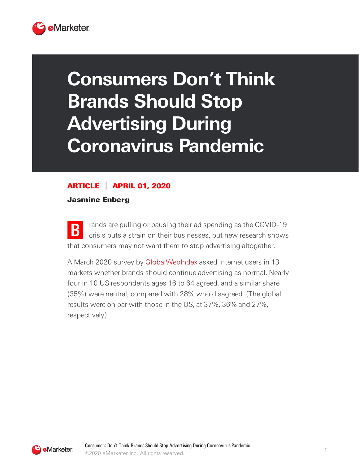

## **Consumers Don't Think Brands Should Stop Advertising During Coronavirus Pandemic**

## ARTICLE APRIL 01, 2020

Jasmine Enberg

**B** rands are pulling or pausing their ad spending as the COVID-19 crisis puts a strain on their businesses, but new research shows that consumers may not want them to stop advertising altogether.

A March 2020 survey by [GlobalWebIndex](https://www.globalwebindex.com/) asked internet users in 13 markets whether brands should continue advertising as normal. Nearly four in 10 US respondents ages 16 to 64 agreed, and a similar share (35%) were neutral, compared with 28% who disagreed. (The global results were on par with those in the US, at 37%, 36% and 27%, respectively.)

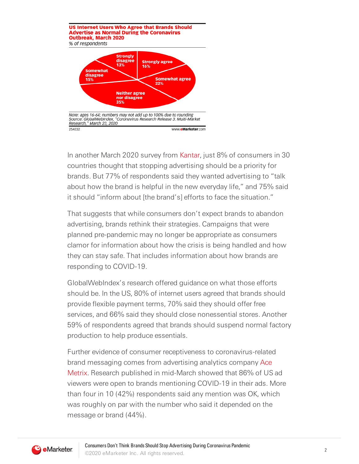

In another March 2020 survey from [Kantar,](https://www.kantar.com/en) just 8% of consumers in 30 countries thought that stopping advertising should be a priority for brands. But 77% of respondents said they wanted advertising to "talk about how the brand is helpful in the new everyday life," and 75% said it should "inform about [the brand's] efforts to face the situation."

That suggests that while consumers don't expect brands to abandon advertising, brands rethink their strategies. Campaigns that were planned pre-pandemic may no longer be appropriate as consumers clamor for information about how the crisis is being handled and how they can stay safe. That includes information about how brands are responding to COVID-19.

GlobalWebIndex's research offered guidance on what those efforts should be. In the US, 80% of internet users agreed that brands should provide flexible payment terms, 70% said they should offer free services, and 66% said they should close nonessential stores. Another 59% of respondents agreed that brands should suspend normal factory production to help produce essentials.

Further evidence of consumer receptiveness to coronavirus-related brand [messaging](https://www.acemetrix.com/) comes from advertising analytics company Ace Metrix. Research published in mid-March showed that 86% of US ad viewers were open to brands mentioning COVID-19 in their ads. More than four in 10 (42%) respondents said any mention was OK, which was roughly on par with the number who said it depended on the message or brand (44%).